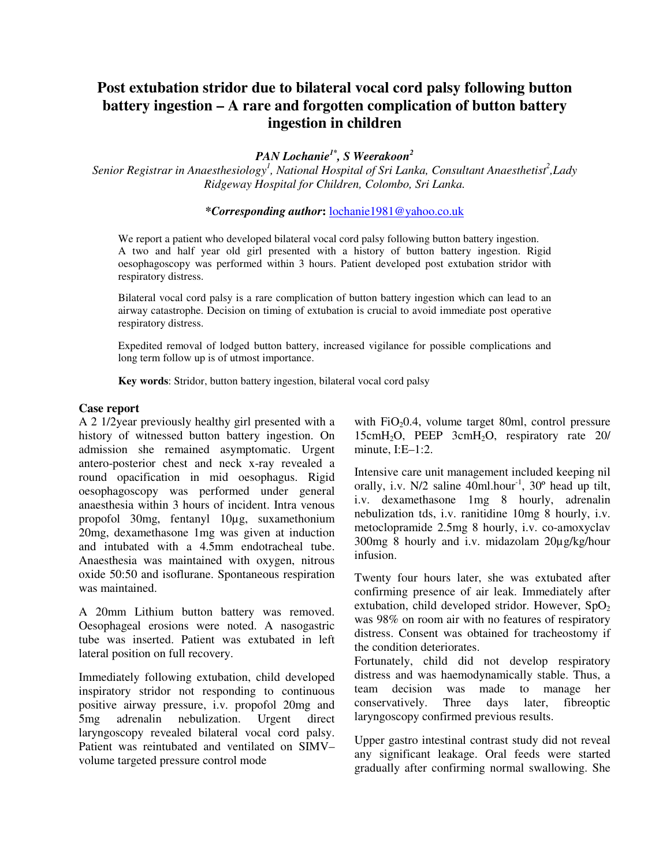## **Post extubation stridor due to bilateral vocal cord palsy following button battery ingestion – A rare and forgotten complication of button battery ingestion in children**

*PAN Lochanie1\*, S Weerakoon<sup>2</sup>*

*Senior Registrar in Anaesthesiology<sup>1</sup> , National Hospital of Sri Lanka, Consultant Anaesthetist<sup>2</sup> ,Lady Ridgeway Hospital for Children, Colombo, Sri Lanka.*

**\****Corresponding author***:** lochanie1981@yahoo.co.uk

We report a patient who developed bilateral vocal cord palsy following button battery ingestion. A two and half year old girl presented with a history of button battery ingestion. Rigid oesophagoscopy was performed within 3 hours. Patient developed post extubation stridor with respiratory distress.

Bilateral vocal cord palsy is a rare complication of button battery ingestion which can lead to an airway catastrophe. Decision on timing of extubation is crucial to avoid immediate post operative respiratory distress.

Expedited removal of lodged button battery, increased vigilance for possible complications and long term follow up is of utmost importance.

**Key words**: Stridor, button battery ingestion, bilateral vocal cord palsy

## **Case report**

A 2 1/2year previously healthy girl presented with a history of witnessed button battery ingestion. On admission she remained asymptomatic. Urgent antero-posterior chest and neck x-ray revealed a round opacification in mid oesophagus. Rigid oesophagoscopy was performed under general anaesthesia within 3 hours of incident. Intra venous propofol 30mg, fentanyl 10µg, suxamethonium 20mg, dexamethasone 1mg was given at induction and intubated with a 4.5mm endotracheal tube. Anaesthesia was maintained with oxygen, nitrous oxide 50:50 and isoflurane. Spontaneous respiration was maintained.

A 20mm Lithium button battery was removed. Oesophageal erosions were noted. A nasogastric tube was inserted. Patient was extubated in left lateral position on full recovery.

Immediately following extubation, child developed inspiratory stridor not responding to continuous positive airway pressure, i.v. propofol 20mg and<br>5mg adrenalin nebulization. Urgent direct 5mg adrenalin nebulization. Urgent direct laryngoscopy revealed bilateral vocal cord palsy. Patient was reintubated and ventilated on SIMV– volume targeted pressure control mode

with  $FiO<sub>2</sub>0.4$ , volume target 80ml, control pressure 15cmH2O, PEEP 3cmH2O, respiratory rate 20/ minute, I:E-1:2.

Intensive care unit management included keeping nil orally, i.v.  $N/2$  saline 40ml.hour<sup>-1</sup>, 30 $^{\circ}$  head up tilt, i.v. dexamethasone 1mg 8 hourly, adrenalin nebulization tds, i.v. ranitidine 10mg 8 hourly, i.v. metoclopramide 2.5mg 8 hourly, i.v. co-amoxyclav 300mg 8 hourly and i.v. midazolam 20µg/kg/hour infusion.

Twenty four hours later, she was extubated after confirming presence of air leak. Immediately after extubation, child developed stridor. However,  $SpO<sub>2</sub>$ was 98% on room air with no features of respiratory distress. Consent was obtained for tracheostomy if the condition deteriorates.

Fortunately, child did not develop respiratory distress and was haemodynamically stable. Thus, a team decision was made to manage her conservatively. Three days later, fibreoptic laryngoscopy confirmed previous results.

Upper gastro intestinal contrast study did not reveal any significant leakage. Oral feeds were started gradually after confirming normal swallowing. She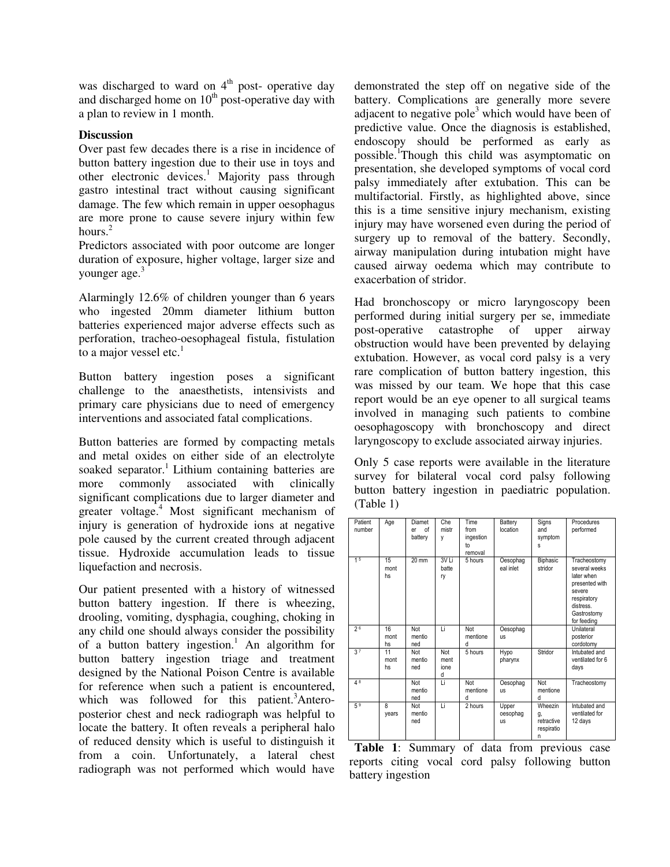was discharged to ward on  $4<sup>th</sup>$  post- operative day and discharged home on  $10<sup>th</sup>$  post-operative day with a plan to review in 1 month.

## **Discussion**

Over past few decades there is a rise in incidence of button battery ingestion due to their use in toys and other electronic devices.<sup>1</sup> Majority pass through gastro intestinal tract without causing significant damage. The few which remain in upper oesophagus are more prone to cause severe injury within few hours. $2$ 

Predictors associated with poor outcome are longer duration of exposure, higher voltage, larger size and younger age.<sup>3</sup>

Alarmingly 12.6% of children younger than 6 years who ingested 20mm diameter lithium button batteries experienced major adverse effects such as perforation, tracheo-oesophageal fistula, fistulation to a major vessel etc. $<sup>1</sup>$ </sup>

Button battery ingestion poses a significant challenge to the anaesthetists, intensivists and primary care physicians due to need of emergency interventions and associated fatal complications.

Button batteries are formed by compacting metals and metal oxides on either side of an electrolyte soaked separator.<sup>1</sup> Lithium containing batteries are more commonly associated with clinically significant complications due to larger diameter and greater voltage.<sup>4</sup> Most significant mechanism of injury is generation of hydroxide ions at negative pole caused by the current created through adjacent tissue. Hydroxide accumulation leads to tissue liquefaction and necrosis.

Our patient presented with a history of witnessed button battery ingestion. If there is wheezing, drooling, vomiting, dysphagia, coughing, choking in any child one should always consider the possibility of a button battery ingestion.<sup>1</sup> An algorithm for button battery ingestion triage and treatment designed by the National Poison Centre is available for reference when such a patient is encountered, which was followed for this patient.<sup>3</sup>Anteroposterior chest and neck radiograph was helpful to locate the battery. It often reveals a peripheral halo of reduced density which is useful to distinguish it from a coin. Unfortunately, a lateral chest radiograph was not performed which would have

demonstrated the step off on negative side of the battery. Complications are generally more severe adjacent to negative pole<sup>3</sup> which would have been of predictive value. Once the diagnosis is established, endoscopy should be performed as early as possible.<sup>1</sup>Though this child was asymptomatic on presentation, she developed symptoms of vocal cord palsy immediately after extubation. This can be multifactorial. Firstly, as highlighted above, since this is a time sensitive injury mechanism, existing injury may have worsened even during the period of surgery up to removal of the battery. Secondly, airway manipulation during intubation might have caused airway oedema which may contribute to exacerbation of stridor.

Had bronchoscopy or micro laryngoscopy been performed during initial surgery per se, immediate post-operative catastrophe of upper airway obstruction would have been prevented by delaying extubation. However, as vocal cord palsy is a very rare complication of button battery ingestion, this was missed by our team. We hope that this case report would be an eye opener to all surgical teams involved in managing such patients to combine oesophagoscopy with bronchoscopy and direct laryngoscopy to exclude associated airway injuries.

Only 5 case reports were available in the literature survey for bilateral vocal cord palsy following button battery ingestion in paediatric population. (Table 1)

| Patient<br>number | Age              | Diamet<br>of<br>er<br>battery | Che<br>mistr<br>٧               | Time<br>from<br>ingestion<br>to<br>removal | Battery<br>location            | Signs<br>and<br>symptom<br>S                   | Procedures<br>performed                                                                                                           |
|-------------------|------------------|-------------------------------|---------------------------------|--------------------------------------------|--------------------------------|------------------------------------------------|-----------------------------------------------------------------------------------------------------------------------------------|
| 15                | 15<br>mont<br>hs | $20 \text{ mm}$               | 3V <sub>Li</sub><br>batte<br>ry | 5 hours                                    | Oesophag<br>eal inlet          | Biphasic<br>stridor                            | Tracheostomy<br>several weeks<br>later when<br>presented with<br>severe<br>respiratory<br>distress.<br>Gastrostomy<br>for feeding |
| 26                | 16<br>mont<br>hs | Not<br>mentio<br>ned          | Ιi                              | Not<br>mentione<br>d                       | Oesophag<br><b>US</b>          |                                                | Unilateral<br>posterior<br>cordotomy                                                                                              |
| 3 <sup>7</sup>    | 11<br>mont<br>hs | Not<br>mentio<br>ned          | Not<br>ment<br>ione<br>d        | 5 hours                                    | Hypo<br>pharynx                | Stridor                                        | Intubated and<br>ventilated for 6<br>days                                                                                         |
| 48                |                  | Not<br>mentio<br>ned          | τi                              | Not<br>mentione<br>d                       | Oesophag<br><b>US</b>          | Not<br>mentione<br>d                           | Tracheostomy                                                                                                                      |
| 5 <sup>9</sup>    | 8<br>years       | Not<br>mentio<br>ned          | Li                              | 2 hours                                    | Upper<br>oesophag<br><b>US</b> | Wheezin<br>g,<br>retractive<br>respiratio<br>n | Intubated and<br>ventilated for<br>12 days                                                                                        |

**Table 1**: Summary of data from previous case reports citing vocal cord palsy following button battery ingestion